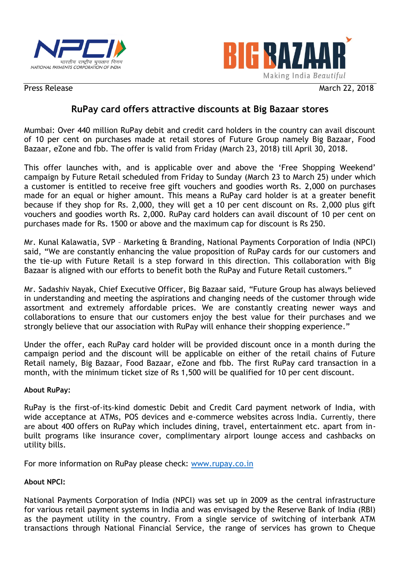



Press Release March 22, 2018

## **RuPay card offers attractive discounts at Big Bazaar stores**

Mumbai: Over 440 million RuPay debit and credit card holders in the country can avail discount of 10 per cent on purchases made at retail stores of Future Group namely Big Bazaar, Food Bazaar, eZone and fbb. The offer is valid from Friday (March 23, 2018) till April 30, 2018.

This offer launches with, and is applicable over and above the 'Free Shopping Weekend' campaign by Future Retail scheduled from Friday to Sunday (March 23 to March 25) under which a customer is entitled to receive free gift vouchers and goodies worth Rs. 2,000 on purchases made for an equal or higher amount. This means a RuPay card holder is at a greater benefit because if they shop for Rs. 2,000, they will get a 10 per cent discount on Rs. 2,000 plus gift vouchers and goodies worth Rs. 2,000. RuPay card holders can avail discount of 10 per cent on purchases made for Rs. 1500 or above and the maximum cap for discount is Rs 250.

Mr. Kunal Kalawatia, SVP – Marketing & Branding, National Payments Corporation of India (NPCI) said, "We are constantly enhancing the value proposition of RuPay cards for our customers and the tie-up with Future Retail is a step forward in this direction. This collaboration with Big Bazaar is aligned with our efforts to benefit both the RuPay and Future Retail customers."

Mr. Sadashiv Nayak, Chief Executive Officer, Big Bazaar said, "Future Group has always believed in understanding and meeting the aspirations and changing needs of the customer through wide assortment and extremely affordable prices. We are constantly creating newer ways and collaborations to ensure that our customers enjoy the best value for their purchases and we strongly believe that our association with RuPay will enhance their shopping experience."

Under the offer, each RuPay card holder will be provided discount once in a month during the campaign period and the discount will be applicable on either of the retail chains of Future Retail namely, Big Bazaar, Food Bazaar, eZone and fbb. The first RuPay card transaction in a month, with the minimum ticket size of Rs 1,500 will be qualified for 10 per cent discount.

## **About RuPay:**

RuPay is the first-of-its-kind domestic Debit and Credit Card payment network of India, with wide acceptance at ATMs, POS devices and e-commerce websites across India. Currently, there are about 400 offers on RuPay which includes dining, travel, entertainment etc. apart from inbuilt programs like insurance cover, complimentary airport lounge access and cashbacks on utility bills.

For more information on RuPay please check: [www.rupay.co.in](http://www.rupay.co.in/)

## **About NPCI:**

National Payments Corporation of India (NPCI) was set up in 2009 as the central infrastructure for various retail payment systems in India and was envisaged by the Reserve Bank of India (RBI) as the payment utility in the country. From a single service of switching of interbank ATM transactions through National Financial Service, the range of services has grown to Cheque